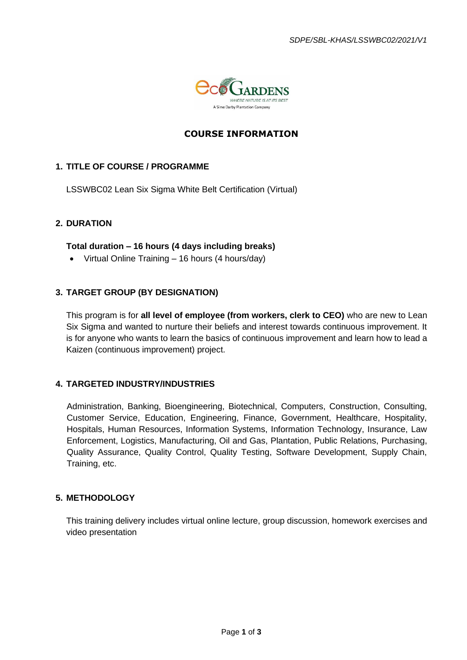

# **COURSE INFORMATION**

## **1. TITLE OF COURSE / PROGRAMME**

LSSWBC02 Lean Six Sigma White Belt Certification (Virtual)

## **2. DURATION**

### **Total duration – 16 hours (4 days including breaks)**

• Virtual Online Training – 16 hours (4 hours/day)

### **3. TARGET GROUP (BY DESIGNATION)**

This program is for **all level of employee (from workers, clerk to CEO)** who are new to Lean Six Sigma and wanted to nurture their beliefs and interest towards continuous improvement. It is for anyone who wants to learn the basics of continuous improvement and learn how to lead a Kaizen (continuous improvement) project.

### **4. TARGETED INDUSTRY/INDUSTRIES**

Administration, Banking, Bioengineering, Biotechnical, Computers, Construction, Consulting, Customer Service, Education, Engineering, Finance, Government, Healthcare, Hospitality, Hospitals, Human Resources, Information Systems, Information Technology, Insurance, Law Enforcement, Logistics, Manufacturing, Oil and Gas, Plantation, Public Relations, Purchasing, Quality Assurance, Quality Control, Quality Testing, Software Development, Supply Chain, Training, etc.

#### **5. METHODOLOGY**

This training delivery includes virtual online lecture, group discussion, homework exercises and video presentation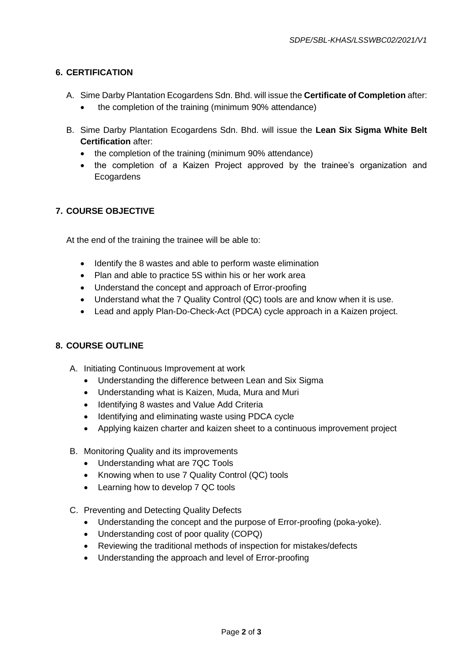## **6. CERTIFICATION**

- A. Sime Darby Plantation Ecogardens Sdn. Bhd. will issue the **Certificate of Completion** after:
	- the completion of the training (minimum 90% attendance)
- B. Sime Darby Plantation Ecogardens Sdn. Bhd. will issue the **Lean Six Sigma White Belt Certification** after:
	- the completion of the training (minimum 90% attendance)
	- the completion of a Kaizen Project approved by the trainee's organization and **Ecogardens**

## **7. COURSE OBJECTIVE**

At the end of the training the trainee will be able to:

- Identify the 8 wastes and able to perform waste elimination
- Plan and able to practice 5S within his or her work area
- Understand the concept and approach of Error-proofing
- Understand what the 7 Quality Control (QC) tools are and know when it is use.
- Lead and apply Plan-Do-Check-Act (PDCA) cycle approach in a Kaizen project.

### **8. COURSE OUTLINE**

- A. Initiating Continuous Improvement at work
	- Understanding the difference between Lean and Six Sigma
	- Understanding what is Kaizen, Muda, Mura and Muri
	- Identifying 8 wastes and Value Add Criteria
	- Identifying and eliminating waste using PDCA cycle
	- Applying kaizen charter and kaizen sheet to a continuous improvement project
- B. Monitoring Quality and its improvements
	- Understanding what are 7QC Tools
	- Knowing when to use 7 Quality Control (QC) tools
	- Learning how to develop 7 QC tools
- C. Preventing and Detecting Quality Defects
	- Understanding the concept and the purpose of Error-proofing (poka-yoke).
	- Understanding cost of poor quality (COPQ)
	- Reviewing the traditional methods of inspection for mistakes/defects
	- Understanding the approach and level of Error-proofing